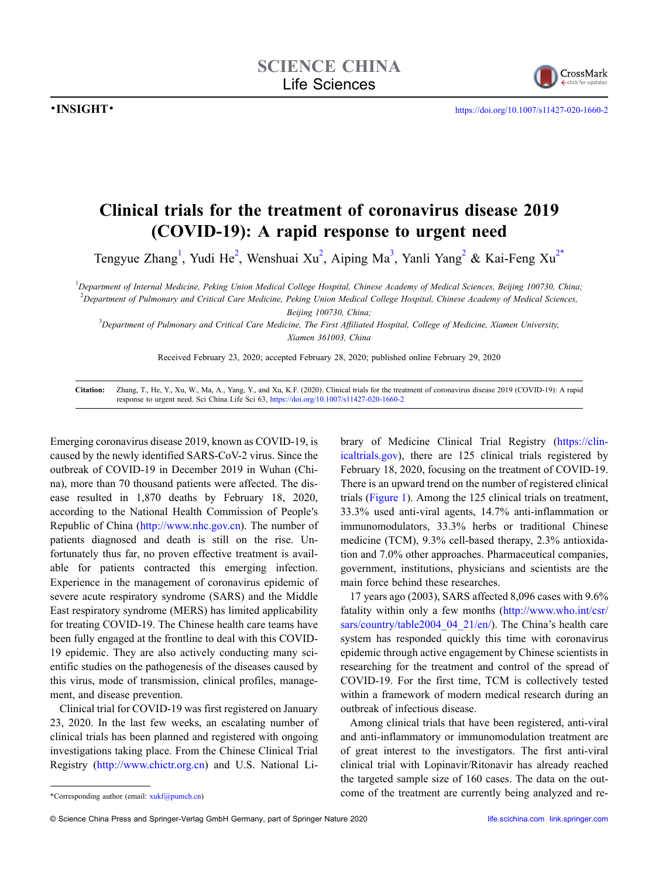

## **Clinical trials for the treatment of coronavirus disease 2019 (COVID-19): A rapid response to urgent need**

Tengyue Zhang<sup>[1](#page-0-0)</sup>, Yudi He<sup>[2](#page-0-1)</sup>, Wenshuai Xu<sup>2</sup>, Aiping Ma<sup>3</sup>, Yanli Yang<sup>2</sup> & Kai-Feng Xu<sup>2[\\*](#page-0-3)</sup>

<span id="page-0-1"></span><span id="page-0-0"></span>1 *Department of Internal Medicine, Peking Union Medical College Hospital, Chinese Academy of Medical Sciences, Beijing 100730, China;* 2 *Department of Pulmonary and Critical Care Medicine, Peking Union Medical College Hospital, Chinese Academy of Medical Sciences,*

*Beijing 100730, China;*

<span id="page-0-2"></span>3 *Department of Pulmonary and Critical Care Medicine, The First Affiliated Hospital, College of Medicine, Xiamen University, Xiamen 361003, China*

Received February 23, 2020; accepted February 28, 2020; published online February 29, 2020

**Citation:** Zhang, T., He, Y., Xu, W., Ma, A., Yang, Y., and Xu, K.F. (2020). Clinical trials for the treatment of coronavirus disease 2019 (COVID-19): A rapid response to urgent need. Sci China Life Sci 63, <https://doi.org/10.1007/s11427-020-1660-2>

Emerging coronavirus disease 2019, known as COVID-19, is caused by the newly identified SARS-CoV-2 virus. Since the outbreak of COVID-19 in December 2019 in Wuhan (China), more than 70 thousand patients were affected. The disease resulted in 1,870 deaths by February 18, 2020, according to the National Health Commission of People′s Republic of China (<http://www.nhc.gov.cn>). The number of patients diagnosed and death is still on the rise. Unfortunately thus far, no proven effective treatment is available for patients contracted this emerging infection. Experience in the management of coronavirus epidemic of severe acute respiratory syndrome (SARS) and the Middle East respiratory syndrome (MERS) has limited applicability for treating COVID-19. The Chinese health care teams have been fully engaged at the frontline to deal with this COVID-19 epidemic. They are also actively conducting many scientific studies on the pathogenesis of the diseases caused by this virus, mode of transmission, clinical profiles, management, and disease prevention.

Clinical trial for COVID-19 was first registered on January 23, 2020. In the last few weeks, an escalating number of clinical trials has been planned and registered with ongoing investigations taking place. From the Chinese Clinical Trial Registry ([http://www.chictr.org.cn\)](http://www.chictr.org.cn) and U.S. National Library of Medicine Clinical Trial Registry ([https://clin](https://clinicaltrials.gov)[icaltrials.gov\)](https://clinicaltrials.gov), there are 125 clinical trials registered by February 18, 2020, focusing on the treatment of COVID-19. There is an upward trend on the number of registered clinical trials ([Figure 1\)](#page-1-0). Among the 125 clinical trials on treatment, 33.3% used anti-viral agents, 14.7% anti-inflammation or immunomodulators, 33.3% herbs or traditional Chinese medicine (TCM), 9.3% cell-based therapy, 2.3% antioxidation and 7.0% other approaches. Pharmaceutical companies, government, institutions, physicians and scientists are the main force behind these researches.

17 years ago (2003), SARS affected 8,096 cases with 9.6% fatality within only a few months ([http://www.who.int/csr/](http://www.who.int/csr/sars/country/table2004_04_21/en/) [sars/country/table2004\\_04\\_21/en/\)](http://www.who.int/csr/sars/country/table2004_04_21/en/). The China's health care system has responded quickly this time with coronavirus epidemic through active engagement by Chinese scientists in researching for the treatment and control of the spread of COVID-19. For the first time, TCM is collectively tested within a framework of modern medical research during an outbreak of infectious disease.

Among clinical trials that have been registered, anti-viral and anti-inflammatory or immunomodulation treatment are of great interest to the investigators. The first anti-viral clinical trial with Lopinavir/Ritonavir has already reached the targeted sample size of 160 cases. The data on the outcome of the treatment are currently being analyzed and re-

<span id="page-0-3"></span><sup>\*</sup>Corresponding author (email: xukf@pumch.cn)

<sup>©</sup> Science China Press and Springer-Verlag GmbH Germany, part of Springer Nature 2020 [life.scichina.com](http://life.scichina.com) [link.springer.com](http://link.springer.com)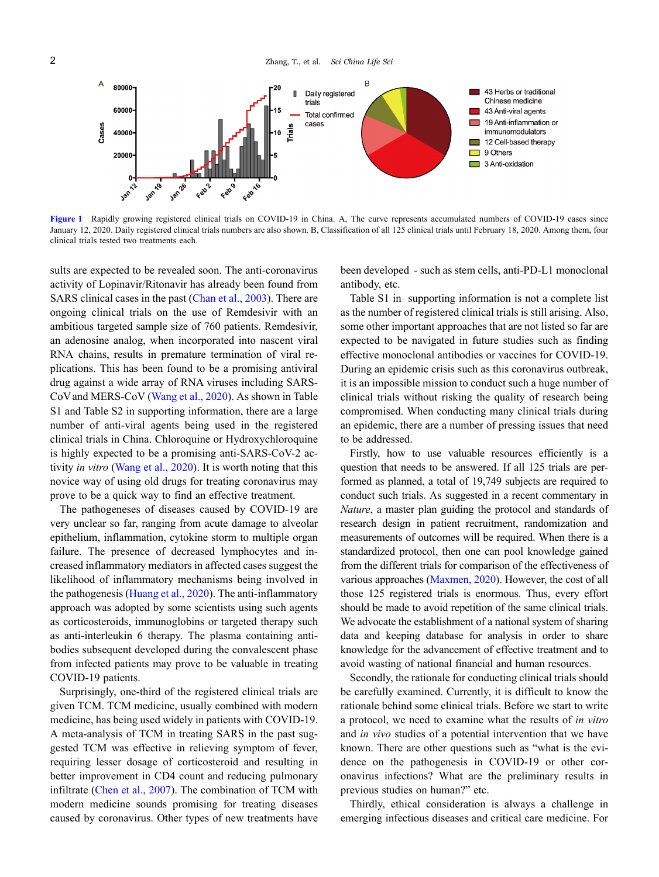

<span id="page-1-0"></span>[Figure 1](#page-1-0) Rapidly growing registered clinical trials on COVID-19 in China. A, The curve represents accumulated numbers of COVID-19 cases since January 12, 2020. Daily registered clinical trials numbers are also shown. B, Classification of all 125 clinical trials until February 18, 2020. Among them, four clinical trials tested two treatments each.

sults are expected to be revealed soon. The anti-coronavirus activity of Lopinavir/Ritonavir has already been found from SARS clinical cases in the past [\(Chan et al., 2003\)](#page-2-0). There are ongoing clinical trials on the use of Remdesivir with an ambitious targeted sample size of 760 patients. Remdesivir, an adenosine analog, when incorporated into nascent viral RNA chains, results in premature termination of viral replications. This has been found to be a promising antiviral drug against a wide array of RNA viruses including SARS-CoV and MERS-CoV ([Wang et al., 2020\)](#page-2-1). As shown in Table S1 and Table S2 in supporting information, there are a large number of anti-viral agents being used in the registered clinical trials in China. Chloroquine or Hydroxychloroquine is highly expected to be a promising anti-SARS-CoV-2 activity *in vitro* [\(Wang et al., 2020\)](#page-2-1). It is worth noting that this novice way of using old drugs for treating coronavirus may prove to be a quick way to find an effective treatment.

The pathogeneses of diseases caused by COVID-19 are very unclear so far, ranging from acute damage to alveolar epithelium, inflammation, cytokine storm to multiple organ failure. The presence of decreased lymphocytes and increased inflammatory mediators in affected cases suggest the likelihood of inflammatory mechanisms being involved in the pathogenesis ([Huang et al., 2020](#page-2-2)). The anti-inflammatory approach was adopted by some scientists using such agents as corticosteroids, immunoglobins or targeted therapy such as anti-interleukin 6 therapy. The plasma containing antibodies subsequent developed during the convalescent phase from infected patients may prove to be valuable in treating COVID-19 patients.

Surprisingly, one-third of the registered clinical trials are given TCM. TCM medicine, usually combined with modern medicine, has being used widely in patients with COVID-19. A meta-analysis of TCM in treating SARS in the past suggested TCM was effective in relieving symptom of fever, requiring lesser dosage of corticosteroid and resulting in better improvement in CD4 count and reducing pulmonary infiltrate ([Chen et al., 2007\)](#page-2-3). The combination of TCM with modern medicine sounds promising for treating diseases caused by coronavirus. Other types of new treatments have been developed - such as stem cells, anti-PD-L1 monoclonal antibody, etc.

Table S1 in supporting information is not a complete list as the number of registered clinical trials is still arising. Also, some other important approaches that are not listed so far are expected to be navigated in future studies such as finding effective monoclonal antibodies or vaccines for COVID-19. During an epidemic crisis such as this coronavirus outbreak, it is an impossible mission to conduct such a huge number of clinical trials without risking the quality of research being compromised. When conducting many clinical trials during an epidemic, there are a number of pressing issues that need to be addressed.

Firstly, how to use valuable resources efficiently is a question that needs to be answered. If all 125 trials are performed as planned, a total of 19,749 subjects are required to conduct such trials. As suggested in a recent commentary in *Nature*, a master plan guiding the protocol and standards of research design in patient recruitment, randomization and measurements of outcomes will be required. When there is a standardized protocol, then one can pool knowledge gained from the different trials for comparison of the effectiveness of various approaches ([Maxmen, 2020](#page-2-4)). However, the cost of all those 125 registered trials is enormous. Thus, every effort should be made to avoid repetition of the same clinical trials. We advocate the establishment of a national system of sharing data and keeping database for analysis in order to share knowledge for the advancement of effective treatment and to avoid wasting of national financial and human resources.

Secondly, the rationale for conducting clinical trials should be carefully examined. Currently, it is difficult to know the rationale behind some clinical trials. Before we start to write a protocol, we need to examine what the results of *in vitro* and *in vivo* studies of a potential intervention that we have known. There are other questions such as "what is the evidence on the pathogenesis in COVID-19 or other coronavirus infections? What are the preliminary results in previous studies on human?" etc.

Thirdly, ethical consideration is always a challenge in emerging infectious diseases and critical care medicine. For